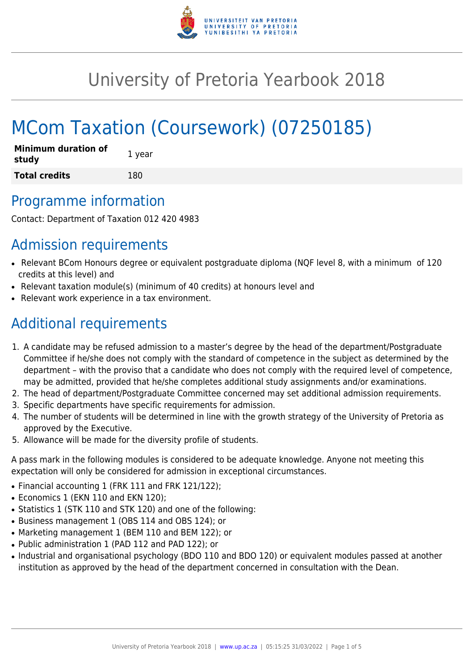

# University of Pretoria Yearbook 2018

# MCom Taxation (Coursework) (07250185)

| <b>Minimum duration of</b><br>study | 1 year |
|-------------------------------------|--------|
| <b>Total credits</b>                | 180    |

# Programme information

Contact: Department of Taxation 012 420 4983

# Admission requirements

- Relevant BCom Honours degree or equivalent postgraduate diploma (NQF level 8, with a minimum of 120 credits at this level) and
- Relevant taxation module(s) (minimum of 40 credits) at honours level and
- Relevant work experience in a tax environment.

# Additional requirements

- 1. A candidate may be refused admission to a master's degree by the head of the department/Postgraduate Committee if he/she does not comply with the standard of competence in the subject as determined by the department – with the proviso that a candidate who does not comply with the required level of competence, may be admitted, provided that he/she completes additional study assignments and/or examinations.
- 2. The head of department/Postgraduate Committee concerned may set additional admission requirements.
- 3. Specific departments have specific requirements for admission.
- 4. The number of students will be determined in line with the growth strategy of the University of Pretoria as approved by the Executive.
- 5. Allowance will be made for the diversity profile of students.

A pass mark in the following modules is considered to be adequate knowledge. Anyone not meeting this expectation will only be considered for admission in exceptional circumstances.

- Financial accounting 1 (FRK 111 and FRK 121/122);
- Economics 1 (EKN 110 and EKN 120);
- Statistics 1 (STK 110 and STK 120) and one of the following:
- Business management 1 (OBS 114 and OBS 124); or
- Marketing management 1 (BEM 110 and BEM 122); or
- Public administration 1 (PAD 112 and PAD 122); or
- Industrial and organisational psychology (BDO 110 and BDO 120) or equivalent modules passed at another institution as approved by the head of the department concerned in consultation with the Dean.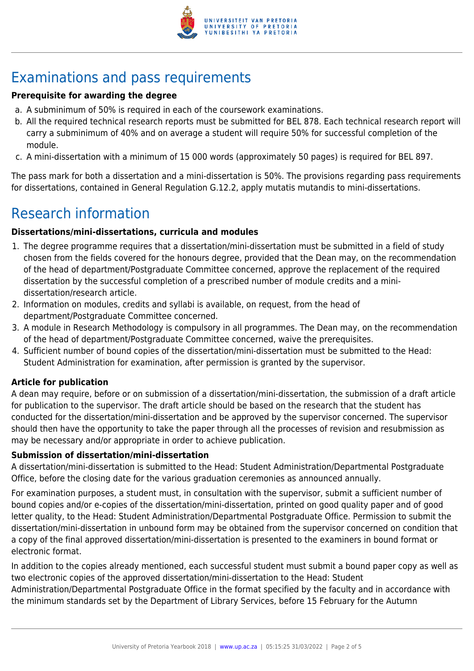

# Examinations and pass requirements

### **Prerequisite for awarding the degree**

- a. A subminimum of 50% is required in each of the coursework examinations.
- b. All the required technical research reports must be submitted for BEL 878. Each technical research report will carry a subminimum of 40% and on average a student will require 50% for successful completion of the module.
- c. A mini-dissertation with a minimum of 15 000 words (approximately 50 pages) is required for BEL 897.

The pass mark for both a dissertation and a mini-dissertation is 50%. The provisions regarding pass requirements for dissertations, contained in General Regulation G.12.2, apply mutatis mutandis to mini-dissertations.

# Research information

### **Dissertations/mini-dissertations, curricula and modules**

- 1. The degree programme requires that a dissertation/mini-dissertation must be submitted in a field of study chosen from the fields covered for the honours degree, provided that the Dean may, on the recommendation of the head of department/Postgraduate Committee concerned, approve the replacement of the required dissertation by the successful completion of a prescribed number of module credits and a minidissertation/research article.
- 2. Information on modules, credits and syllabi is available, on request, from the head of department/Postgraduate Committee concerned.
- 3. A module in Research Methodology is compulsory in all programmes. The Dean may, on the recommendation of the head of department/Postgraduate Committee concerned, waive the prerequisites.
- 4. Sufficient number of bound copies of the dissertation/mini-dissertation must be submitted to the Head: Student Administration for examination, after permission is granted by the supervisor.

### **Article for publication**

A dean may require, before or on submission of a dissertation/mini-dissertation, the submission of a draft article for publication to the supervisor. The draft article should be based on the research that the student has conducted for the dissertation/mini-dissertation and be approved by the supervisor concerned. The supervisor should then have the opportunity to take the paper through all the processes of revision and resubmission as may be necessary and/or appropriate in order to achieve publication.

#### **Submission of dissertation/mini-dissertation**

A dissertation/mini-dissertation is submitted to the Head: Student Administration/Departmental Postgraduate Office, before the closing date for the various graduation ceremonies as announced annually.

For examination purposes, a student must, in consultation with the supervisor, submit a sufficient number of bound copies and/or e-copies of the dissertation/mini-dissertation, printed on good quality paper and of good letter quality, to the Head: Student Administration/Departmental Postgraduate Office. Permission to submit the dissertation/mini-dissertation in unbound form may be obtained from the supervisor concerned on condition that a copy of the final approved dissertation/mini-dissertation is presented to the examiners in bound format or electronic format.

In addition to the copies already mentioned, each successful student must submit a bound paper copy as well as two electronic copies of the approved dissertation/mini-dissertation to the Head: Student Administration/Departmental Postgraduate Office in the format specified by the faculty and in accordance with the minimum standards set by the Department of Library Services, before 15 February for the Autumn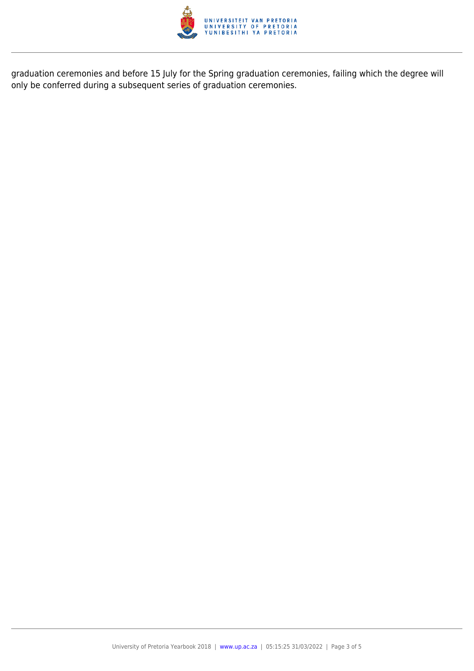

graduation ceremonies and before 15 July for the Spring graduation ceremonies, failing which the degree will only be conferred during a subsequent series of graduation ceremonies.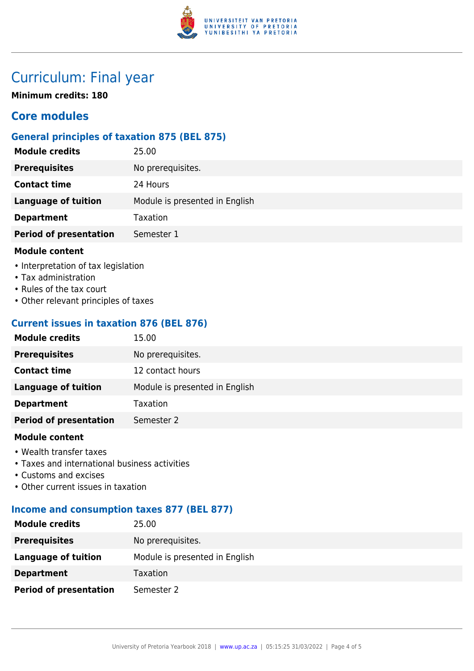

# Curriculum: Final year

**Minimum credits: 180**

## **Core modules**

### **General principles of taxation 875 (BEL 875)**

| <b>Module credits</b>         | 25.00                          |
|-------------------------------|--------------------------------|
| <b>Prerequisites</b>          | No prerequisites.              |
| <b>Contact time</b>           | 24 Hours                       |
| <b>Language of tuition</b>    | Module is presented in English |
| <b>Department</b>             | Taxation                       |
| <b>Period of presentation</b> | Semester 1                     |
| <b>Module content</b>         |                                |

- Interpretation of tax legislation
- Tax administration
- Rules of the tax court
- Other relevant principles of taxes

## **Current issues in taxation 876 (BEL 876)**

| <b>Module credits</b>         | 15.00                          |
|-------------------------------|--------------------------------|
| <b>Prerequisites</b>          | No prerequisites.              |
| <b>Contact time</b>           | 12 contact hours               |
| <b>Language of tuition</b>    | Module is presented in English |
| <b>Department</b>             | Taxation                       |
| <b>Period of presentation</b> | Semester 2                     |
|                               |                                |

#### **Module content**

- Wealth transfer taxes
- Taxes and international business activities
- Customs and excises
- Other current issues in taxation

### **Income and consumption taxes 877 (BEL 877)**

| <b>Module credits</b>         | 25.00                          |
|-------------------------------|--------------------------------|
| <b>Prerequisites</b>          | No prerequisites.              |
| Language of tuition           | Module is presented in English |
| <b>Department</b>             | Taxation                       |
| <b>Period of presentation</b> | Semester 2                     |